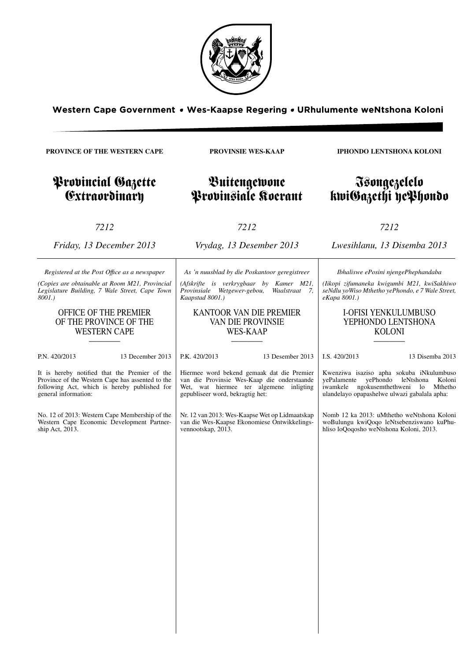

**PROVINSIE WES-KAAP**

Buitengewone Provinsiale Koerant

**PROVINCE OF THE WESTERN CAPE**

Provincial Gazette **Extraordinary** 

*7212*

*Friday, 13 December 2013*

*Registered at the Post Offıce as a newspaper (Copies are obtainable at Room M21, Provincial Legislature Building, 7 Wale Street, Cape Town*

OFFICE OF THE PREMIER OF THE PROVINCE OF THE WESTERN CAPE ———— P.N. 420/2013 13 December 2013

*8001.)*

*7212*

*Vrydag, 13 Desember 2013*

*As 'n nuusblad by die Poskantoor geregistreer*

*(Afskrifte is verkrygbaar by Kamer M21, Provinsiale Wetgewer-gebou, Waalstraat 7, Kaapstad 8001.)*

# KANTOOR VAN DIE PREMIER VAN DIE PROVINSIE WES-KAAP

————

P.K. 420/2013 13 Desember 2013

Hiermee word bekend gemaak dat die Premier van die Provinsie Wes-Kaap die onderstaande Wet, wat hiermee ter algemene inligting gepubliseer word, bekragtig het:

Nr. 12 van 2013: Wes-Kaapse Wet op Lidmaatskap van die Wes-Kaapse Ekonomiese Ontwikkelingsvennootskap, 2013.

**IPHONDO LENTSHONA KOLONI**

# Isongezelelo kwiGazethi yePhondo

*7212*

*Lwesihlanu, 13 Disemba 2013*

*Ibhaliswe ePosini njengePhephandaba*

*(Iikopi zifumaneka kwigumbi M21, kwiSakhiwo seNdlu yoWiso Mthetho yePhondo, e 7 Wale Street, eKapa 8001.)*

# I-OFISI YENKULUMBUSO YEPHONDO LENTSHONA KOLONI

————

I.S. 420/2013 13 Disemba 2013

Kwenziwa isaziso apha sokuba iNkulumbuso yePalamente yePhondo leNtshona Koloni iwamkele ngokusemthethweni lo Mthetho ulandelayo opapashelwe ulwazi gabalala apha:

Nomb 12 ka 2013: uMthetho weNtshona Koloni woBulungu kwiQoqo leNtsebenziswano kuPhuhliso loQoqosho weNtshona Koloni, 2013.

It is hereby notified that the Premier of the Province of the Western Cape has assented to the following Act, which is hereby published for general information:

No. 12 of 2013: Western Cape Membership of the Western Cape Economic Development Partnership Act, 2013.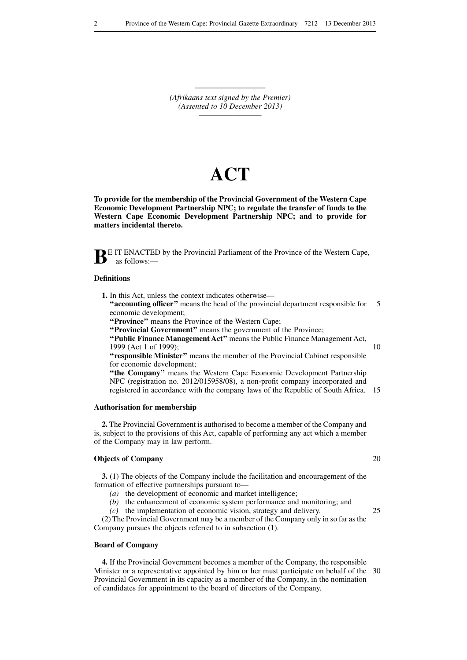———————————————————— *(Afrikaans text signed by the Premier) (Assented to 10 December 2013) —————————*

# **ACT**

**To provide for the membership of the Provincial Government of the Western Cape Economic Development Partnership NPC; to regulate the transfer of funds to the Western Cape Economic Development Partnership NPC; and to provide for matters incidental thereto.**



**BE IT ENACTED** by the Provincial Parliament of the Province of the Western Cape, as follows:—

### **Definitions**

**1.** In this Act, unless the context indicates otherwise—

**"accounting officer"** means the head of the provincial department responsible for 5 economic development;

**''Province''** means the Province of the Western Cape;

**''Provincial Government''** means the government of the Province;

**''Public Finance Management Act''** means the Public Finance Management Act, 1999 (Act 1 of 1999);

10

**''responsible Minister''** means the member of the Provincial Cabinet responsible for economic development; **''the Company''** means the Western Cape Economic Development Partnership

NPC (registration no. 2012/015958/08), a non-profit company incorporated and registered in accordance with the company laws of the Republic of South Africa. 15

# **Authorisation for membership**

**2.** The Provincial Government is authorised to become a member of the Company and is, subject to the provisions of this Act, capable of performing any act which a member of the Company may in law perform.

# **Objects of Company**

**3.** (1) The objects of the Company include the facilitation and encouragement of the formation of effective partnerships pursuant to—

*(a)* the development of economic and market intelligence;

*(b)* the enhancement of economic system performance and monitoring; and

*(c)* the implementation of economic vision, strategy and delivery.

(2) The Provincial Government may be a member of the Company only in so far as the Company pursues the objects referred to in subsection (1).

#### **Board of Company**

**4.** If the Provincial Government becomes a member of the Company, the responsible Minister or a representative appointed by him or her must participate on behalf of the 30 Provincial Government in its capacity as a member of the Company, in the nomination of candidates for appointment to the board of directors of the Company.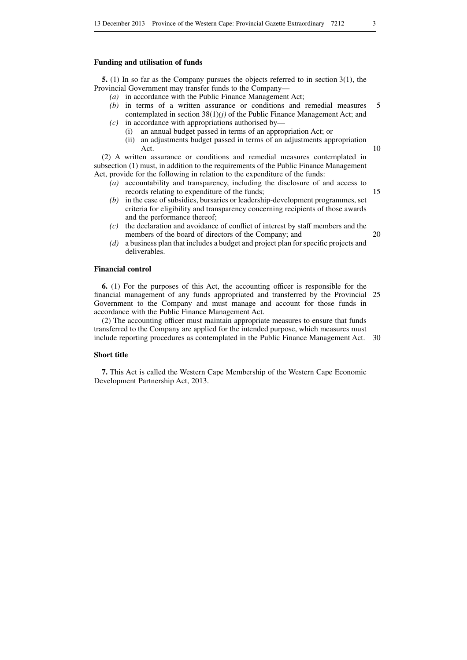#### **Funding and utilisation of funds**

**5.** (1) In so far as the Company pursues the objects referred to in section 3(1), the Provincial Government may transfer funds to the Company—

- *(a)* in accordance with the Public Finance Management Act;
- *(b)* in terms of a written assurance or conditions and remedial measures contemplated in section 38(1)*(j)* of the Public Finance Management Act; and 5
- *(c)* in accordance with appropriations authorised by—
	- (i) an annual budget passed in terms of an appropriation Act; or (ii) an adjustments budget passed in terms of an adjustments appropriation Act.

(2) A written assurance or conditions and remedial measures contemplated in subsection (1) must, in addition to the requirements of the Public Finance Management Act, provide for the following in relation to the expenditure of the funds:

- *(a)* accountability and transparency, including the disclosure of and access to records relating to expenditure of the funds; 15
- *(b)* in the case of subsidies, bursaries or leadership-development programmes, set criteria for eligibility and transparency concerning recipients of those awards and the performance thereof;
- *(c)* the declaration and avoidance of conflict of interest by staff members and the members of the board of directors of the Company; and
- *(d)* a business plan that includes a budget and project plan for specific projects and deliverables.

### **Financial control**

**6.** (1) For the purposes of this Act, the accounting officer is responsible for the financial management of any funds appropriated and transferred by the Provincial 25 Government to the Company and must manage and account for those funds in accordance with the Public Finance Management Act.

(2) The accounting officer must maintain appropriate measures to ensure that funds transferred to the Company are applied for the intended purpose, which measures must include reporting procedures as contemplated in the Public Finance Management Act. 30

# **Short title**

**7.** This Act is called the Western Cape Membership of the Western Cape Economic Development Partnership Act, 2013.

10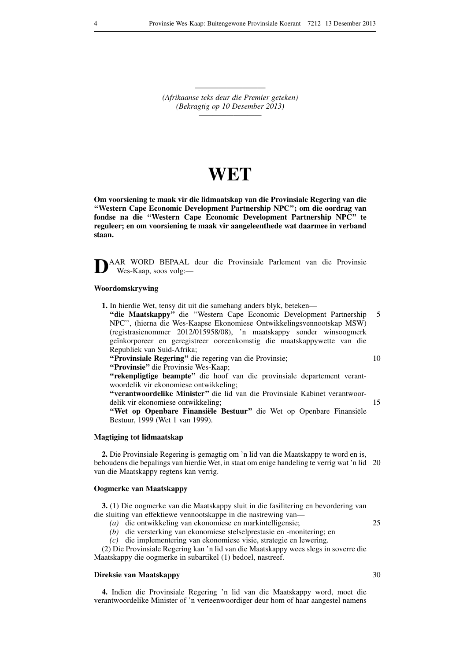———————————————————— *(Afrikaanse teks deur die Premier geteken) (Bekragtig op 10 Desember 2013) —————————*

# **WET**

**Om voorsiening te maak vir die lidmaatskap van die Provinsiale Regering van die ''Western Cape Economic Development Partnership NPC''; om die oordrag van fondse na die ''Western Cape Economic Development Partnership NPC'' te reguleer; en om voorsiening te maak vir aangeleenthede wat daarmee in verband staan.**

**D**AAR WORD BEPAAL deur die Provinsiale Parlement van die Provinsie Wes-Kaap, soos volg:—

# **Woordomskrywing**

**1.** In hierdie Wet, tensy dit uit die samehang anders blyk, beteken—

**''die Maatskappy''** die ''Western Cape Economic Development Partnership NPC'', (hierna die Wes-Kaapse Ekonomiese Ontwikkelingsvennootskap MSW) (registrasienommer 2012/015958/08), 'n maatskappy sonder winsoogmerk geïnkorporeer en geregistreer ooreenkomstig die maatskappywette van die Republiek van Suid-Afrika; 5 10

**''Provinsiale Regering''** die regering van die Provinsie;

**''Provinsie''** die Provinsie Wes-Kaap;

**''rekenpligtige beampte''** die hoof van die provinsiale departement verantwoordelik vir ekonomiese ontwikkeling;

**''verantwoordelike Minister''** die lid van die Provinsiale Kabinet verantwoordelik vir ekonomiese ontwikkeling;

**''Wet op Openbare Finansiële Bestuur''** die Wet op Openbare Finansiële Bestuur, 1999 (Wet 1 van 1999).

#### **Magtiging tot lidmaatskap**

**2.** Die Provinsiale Regering is gemagtig om 'n lid van die Maatskappy te word en is, behoudens die bepalings van hierdie Wet, in staat om enige handeling te verrig wat 'n lid 20 van die Maatskappy regtens kan verrig.

# **Oogmerke van Maatskappy**

**3.** (1) Die oogmerke van die Maatskappy sluit in die fasilitering en bevordering van die sluiting van effektiewe vennootskappe in die nastrewing van—

- *(a)* die ontwikkeling van ekonomiese en markintelligensie;
- *(b)* die versterking van ekonomiese stelselprestasie en -monitering; en

*(c)* die implementering van ekonomiese visie, strategie en lewering.

(2) Die Provinsiale Regering kan 'n lid van die Maatskappy wees slegs in soverre die Maatskappy die oogmerke in subartikel (1) bedoel, nastreef.

### **Direksie van Maatskappy**

**4.** Indien die Provinsiale Regering 'n lid van die Maatskappy word, moet die verantwoordelike Minister of 'n verteenwoordiger deur hom of haar aangestel namens

15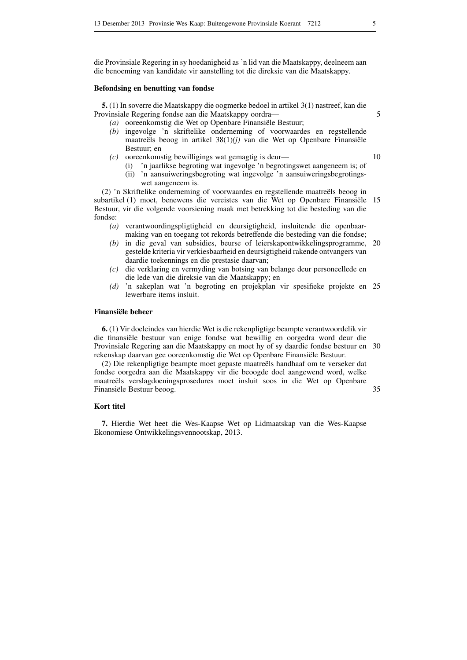die Provinsiale Regering in sy hoedanigheid as 'n lid van die Maatskappy, deelneem aan die benoeming van kandidate vir aanstelling tot die direksie van die Maatskappy.

#### **Befondsing en benutting van fondse**

**5.** (1) In soverre die Maatskappy die oogmerke bedoel in artikel 3(1) nastreef, kan die Provinsiale Regering fondse aan die Maatskappy oordra—

- *(a)* ooreenkomstig die Wet op Openbare Finansiële Bestuur;
- *(b)* ingevolge 'n skriftelike onderneming of voorwaardes en regstellende maatreëls beoog in artikel 38(1)*(j)* van die Wet op Openbare Finansiële Bestuur; en
- *(c)* ooreenkomstig bewilligings wat gemagtig is deur—
	- (i) 'n jaarlikse begroting wat ingevolge 'n begrotingswet aangeneem is; of
	- (ii) 'n aansuiweringsbegroting wat ingevolge 'n aansuiweringsbegrotingswet aangeneem is.

(2) 'n Skriftelike onderneming of voorwaardes en regstellende maatreëls beoog in subartikel (1) moet, benewens die vereistes van die Wet op Openbare Finansiële Bestuur, vir die volgende voorsiening maak met betrekking tot die besteding van die fondse: 15

- *(a)* verantwoordingspligtigheid en deursigtigheid, insluitende die openbaarmaking van en toegang tot rekords betreffende die besteding van die fondse;
- *(b)* in die geval van subsidies, beurse of leierskapontwikkelingsprogramme, 20 gestelde kriteria vir verkiesbaarheid en deursigtigheid rakende ontvangers van daardie toekennings en die prestasie daarvan;
- *(c)* die verklaring en vermyding van botsing van belange deur personeellede en die lede van die direksie van die Maatskappy; en
- *(d)* 'n sakeplan wat 'n begroting en projekplan vir spesifieke projekte en 25 lewerbare items insluit.

#### **Finansiële beheer**

**6.** (1) Vir doeleindes van hierdie Wet is die rekenpligtige beampte verantwoordelik vir die finansiële bestuur van enige fondse wat bewillig en oorgedra word deur die Provinsiale Regering aan die Maatskappy en moet hy of sy daardie fondse bestuur en 30 rekenskap daarvan gee ooreenkomstig die Wet op Openbare Finansiële Bestuur.

(2) Die rekenpligtige beampte moet gepaste maatreëls handhaaf om te verseker dat fondse oorgedra aan die Maatskappy vir die beoogde doel aangewend word, welke maatreëls verslagdoeningsprosedures moet insluit soos in die Wet op Openbare Finansiële Bestuur beoog. 35

#### **Kort titel**

**7.** Hierdie Wet heet die Wes-Kaapse Wet op Lidmaatskap van die Wes-Kaapse Ekonomiese Ontwikkelingsvennootskap, 2013.

5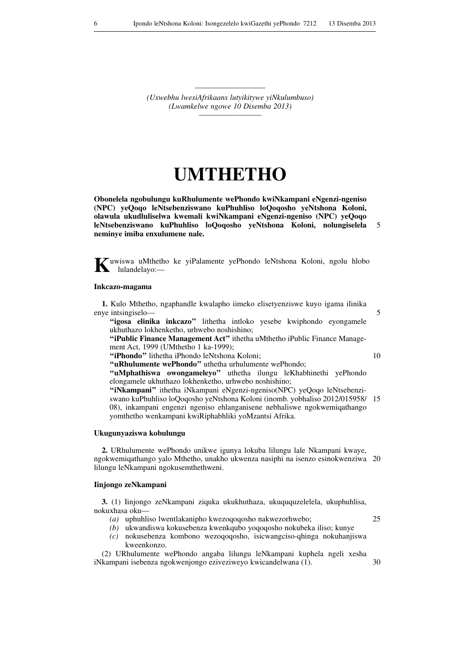———————————————————— *(Uxwebhu lwesiAfrikaans lutyikitywe yiNkulumbuso) (Lwamkelwe ngowe 10 Disemba 2013) —————————*

# **UMTHETHO**

**Obonelela ngobulungu kuRhulumente wePhondo kwiNkampani eNgenzi-ngeniso (NPC) yeQoqo leNtsebenziswano kuPhuhliso loQoqosho yeNtshona Koloni, olawula ukudluliselwa kwemali kwiNkampani eNgenzi-ngeniso (NPC) yeQoqo leNtsebenziswano kuPhuhliso loQoqosho yeNtshona Koloni, nolungiselela neminye imiba enxulumene nale.** 5

**K**uwiswa uMthetho ke yiPalamente yePhondo leNtshona Koloni, ngolu hlobo lulandelayo:—

#### **Inkcazo-magama**

**1.** Kulo Mthetho, ngaphandle kwalapho iimeko elisetyenziswe kuyo igama ilinika enye intsingiselo—

"igosa elinika inkcazo" lithetha intloko yesebe kwiphondo eyongamele ukhuthazo lokhenketho, urhwebo noshishino;

**''iPublic Finance Management Act''** ithetha uMthetho iPublic Finance Management Act, 1999 (UMthetho 1 ka-1999);

**''iPhondo''** lithetha iPhondo leNtshona Koloni;

**''uRhulumente wePhondo''** uthetha urhulumente wePhondo; **''uMphathiswa owongameleyo''** uthetha ilungu leKhabhinethi yePhondo elongamele ukhuthazo lokhenketho, urhwebo noshishino;

**''iNkampani''** ithetha iNkampani eNgenzi-ngeniso(NPC) yeQoqo leNtsebenziswano kuPhuhliso loQoqosho yeNtshona Koloni (inomb. yobhaliso 2012/015958/ 15 08), inkampani engenzi ngeniso ehlanganisene nebhaliswe ngokwemiqathango yomthetho wenkampani kwiRiphabhliki yoMzantsi Afrika.

#### **Ukugunyaziswa kobulungu**

**2.** URhulumente wePhondo unikwe igunya lokuba lilungu lale Nkampani kwaye, ngokwemiqathango yalo Mthetho, unakho ukwenza nasiphi na isenzo esinokwenziwa 20 lilungu leNkampani ngokusemthethweni.

# **Iinjongo zeNkampani**

**3.** (1) Iinjongo zeNkampani ziquka ukukhuthaza, ukuququzelelela, ukuphuhlisa, nokuxhasa oku—

*(a)* uphuhliso lwentlakanipho kwezoqoqosho nakwezorhwebo;

*(b)* ukwandiswa kokusebenza kwenkqubo yoqoqosho nokubeka iliso; kunye

*(c)* nokusebenza kombono wezoqoqosho, isicwangciso-qhinga nokuhanjiswa kweenkonzo.

(2) URhulumente wePhondo angaba lilungu leNkampani kuphela ngeli xesha iNkampani isebenza ngokwenjongo eziveziweyo kwicandelwana (1). 30

10

25